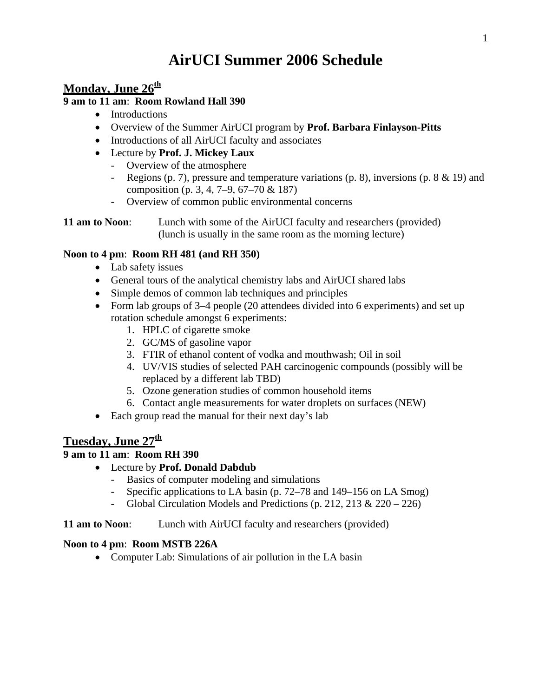# **AirUCI Summer 2006 Schedule**

# Monday, June 26<sup>th</sup>

## **9 am to 11 am**: **Room Rowland Hall 390**

- Introductions
- Overview of the Summer AirUCI program by **Prof. Barbara Finlayson-Pitts**
- Introductions of all AirUCI faculty and associates
- Lecture by **Prof. J. Mickey Laux**
	- Overview of the atmosphere
	- Regions (p. 7), pressure and temperature variations (p. 8), inversions (p. 8 & 19) and composition (p. 3, 4, 7–9, 67–70 & 187)
	- Overview of common public environmental concerns

**11 am to Noon:** Lunch with some of the AirUCI faculty and researchers (provided) (lunch is usually in the same room as the morning lecture)

### **Noon to 4 pm**: **Room RH 481 (and RH 350)**

- Lab safety issues
- General tours of the analytical chemistry labs and AirUCI shared labs
- Simple demos of common lab techniques and principles
- Form lab groups of 3–4 people (20 attendees divided into 6 experiments) and set up rotation schedule amongst 6 experiments:
	- 1. HPLC of cigarette smoke
	- 2. GC/MS of gasoline vapor
	- 3. FTIR of ethanol content of vodka and mouthwash; Oil in soil
	- 4. UV/VIS studies of selected PAH carcinogenic compounds (possibly will be replaced by a different lab TBD)
	- 5. Ozone generation studies of common household items
	- 6. Contact angle measurements for water droplets on surfaces (NEW)
- Each group read the manual for their next day's lab

# Tuesday, June 27<sup>th</sup>

## **9 am to 11 am**: **Room RH 390**

- Lecture by **Prof. Donald Dabdub**
	- Basics of computer modeling and simulations
	- Specific applications to LA basin (p. 72–78 and 149–156 on LA Smog)
	- Global Circulation Models and Predictions (p. 212, 213  $& 220 226$ )

#### **11 am to Noon:** Lunch with AirUCI faculty and researchers (provided)

#### **Noon to 4 pm**: **Room MSTB 226A**

• Computer Lab: Simulations of air pollution in the LA basin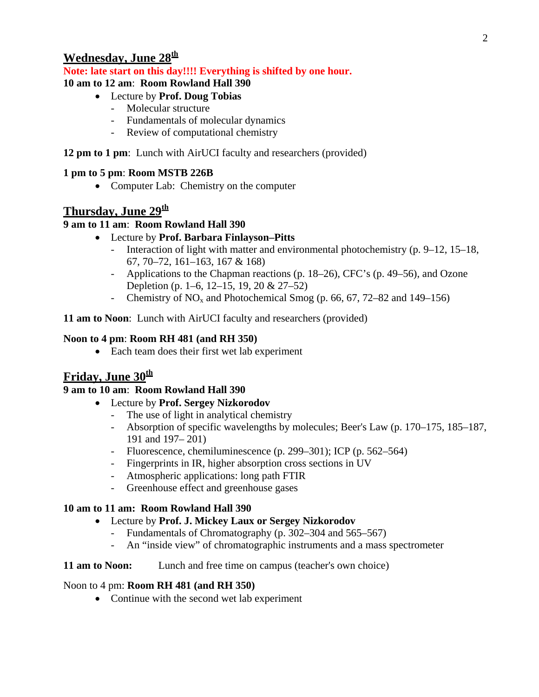# **Wednesday, June 28th**

**Note: late start on this day!!!! Everything is shifted by one hour.** 

**10 am to 12 am**: **Room Rowland Hall 390** 

- Lecture by **Prof. Doug Tobias**
	- Molecular structure
	- Fundamentals of molecular dynamics
	- Review of computational chemistry

**12 pm to 1 pm**: Lunch with AirUCI faculty and researchers (provided)

### **1 pm to 5 pm**: **Room MSTB 226B**

• Computer Lab: Chemistry on the computer

## **Thursday, June 29th**

### **9 am to 11 am**: **Room Rowland Hall 390**

- Lecture by **Prof. Barbara Finlayson–Pitts**
	- Interaction of light with matter and environmental photochemistry  $(p. 9-12, 15-18,$ 67, 70–72, 161–163, 167 & 168)
	- Applications to the Chapman reactions (p. 18–26), CFC's (p. 49–56), and Ozone Depletion (p. 1–6, 12–15, 19, 20 & 27–52)
	- Chemistry of  $NO<sub>x</sub>$  and Photochemical Smog (p. 66, 67, 72–82 and 149–156)

**11 am to Noon**: Lunch with AirUCI faculty and researchers (provided)

#### **Noon to 4 pm**: **Room RH 481 (and RH 350)**

• Each team does their first wet lab experiment

# **Friday, June 30th**

## **9 am to 10 am**: **Room Rowland Hall 390**

- Lecture by **Prof. Sergey Nizkorodov**
	- The use of light in analytical chemistry
	- Absorption of specific wavelengths by molecules; Beer's Law (p. 170–175, 185–187, 191 and 197– 201)
	- Fluorescence, chemiluminescence (p. 299–301); ICP (p. 562–564)
	- Fingerprints in IR, higher absorption cross sections in UV
	- Atmospheric applications: long path FTIR
	- Greenhouse effect and greenhouse gases

#### **10 am to 11 am: Room Rowland Hall 390**

- Lecture by **Prof. J. Mickey Laux or Sergey Nizkorodov**
	- Fundamentals of Chromatography (p. 302–304 and 565–567)
	- An "inside view" of chromatographic instruments and a mass spectrometer
- **11 am to Noon:** Lunch and free time on campus (teacher's own choice)

#### Noon to 4 pm: **Room RH 481 (and RH 350)**

• Continue with the second wet lab experiment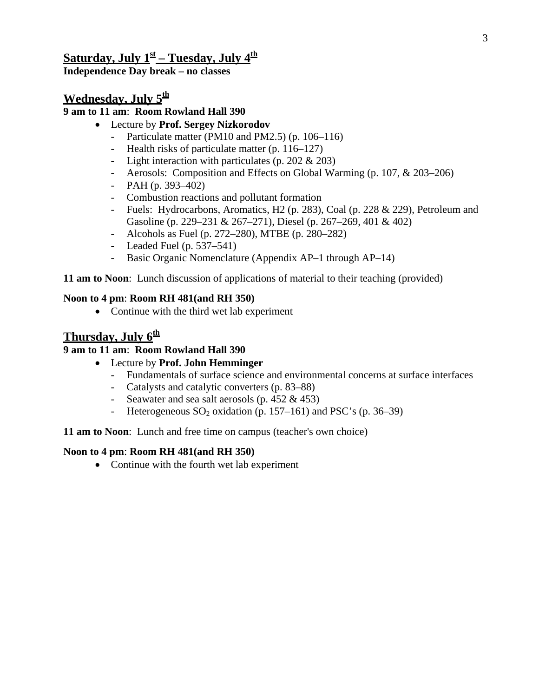# **Saturday, July 1st – Tuesday, July 4th**

**Independence Day break – no classes** 

# **Wednesday, July 5th**

## **9 am to 11 am**: **Room Rowland Hall 390**

- Lecture by **Prof. Sergey Nizkorodov**
	- Particulate matter (PM10 and PM2.5) (p. 106–116)
	- Health risks of particulate matter (p. 116–127)
	- Light interaction with particulates (p. 202 & 203)
	- Aerosols: Composition and Effects on Global Warming (p. 107, & 203–206)
	- $-$  PAH (p. 393–402)
	- Combustion reactions and pollutant formation
	- Fuels: Hydrocarbons, Aromatics, H2 (p. 283), Coal (p. 228 & 229), Petroleum and Gasoline (p. 229–231 & 267–271), Diesel (p. 267–269, 401 & 402)
	- Alcohols as Fuel (p. 272–280), MTBE (p. 280–282)
	- Leaded Fuel (p. 537–541)
	- Basic Organic Nomenclature (Appendix AP–1 through AP–14)

**11 am to Noon**: Lunch discussion of applications of material to their teaching (provided)

### **Noon to 4 pm**: **Room RH 481(and RH 350)**

• Continue with the third wet lab experiment

# **Thursday, July 6th**

## **9 am to 11 am**: **Room Rowland Hall 390**

## • Lecture by **Prof. John Hemminger**

- Fundamentals of surface science and environmental concerns at surface interfaces
- Catalysts and catalytic converters (p. 83–88)
- Seawater and sea salt aerosols  $(p. 452 \& 453)$
- Heterogeneous  $SO_2$  oxidation (p. 157–161) and PSC's (p. 36–39)

**11 am to Noon**: Lunch and free time on campus (teacher's own choice)

## **Noon to 4 pm**: **Room RH 481(and RH 350)**

• Continue with the fourth wet lab experiment